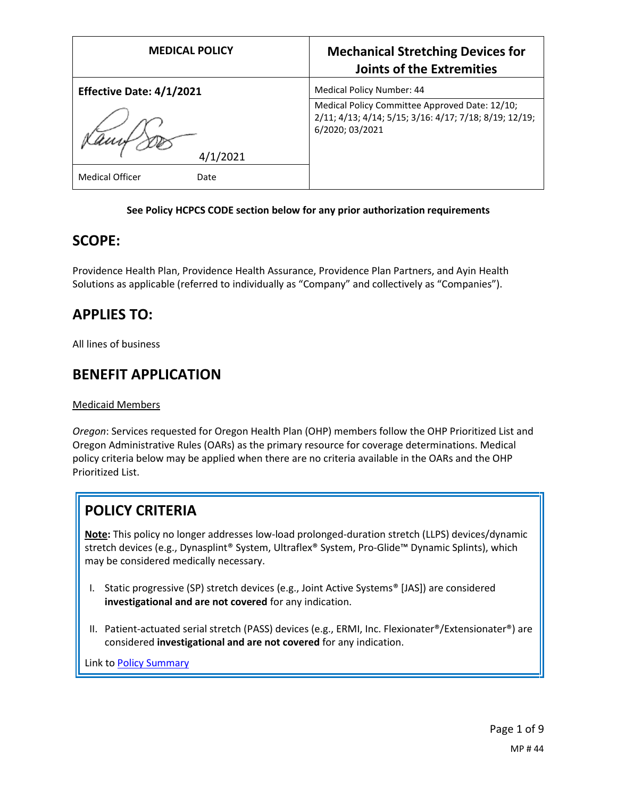| <b>MEDICAL POLICY</b>          | <b>Mechanical Stretching Devices for</b><br><b>Joints of the Extremities</b>                                                |
|--------------------------------|-----------------------------------------------------------------------------------------------------------------------------|
| Effective Date: 4/1/2021       | Medical Policy Number: 44                                                                                                   |
| /2021                          | Medical Policy Committee Approved Date: 12/10;<br>2/11; 4/13; 4/14; 5/15; 3/16: 4/17; 7/18; 8/19; 12/19;<br>6/2020; 03/2021 |
| <b>Medical Officer</b><br>Date |                                                                                                                             |

### **See Policy HCPCS CODE section below for any prior authorization requirements**

## **SCOPE:**

Providence Health Plan, Providence Health Assurance, Providence Plan Partners, and Ayin Health Solutions as applicable (referred to individually as "Company" and collectively as "Companies").

## **APPLIES TO:**

All lines of business

## **BENEFIT APPLICATION**

### Medicaid Members

*Oregon*: Services requested for Oregon Health Plan (OHP) members follow the OHP Prioritized List and Oregon Administrative Rules (OARs) as the primary resource for coverage determinations. Medical policy criteria below may be applied when there are no criteria available in the OARs and the OHP Prioritized List.

# **POLICY CRITERIA**

**Note:** This policy no longer addresses low-load prolonged-duration stretch (LLPS) devices/dynamic stretch devices (e.g., Dynasplint® System, Ultraflex® System, Pro-Glide™ Dynamic Splints), which may be considered medically necessary.

- I. Static progressive (SP) stretch devices (e.g., Joint Active Systems® [JAS]) are considered **investigational and are not covered** for any indication.
- II. Patient-actuated serial stretch (PASS) devices (e.g., ERMI, Inc. Flexionater®/Extensionater®) are considered **investigational and are not covered** for any indication.

Link t[o Policy Summary](#page-6-0)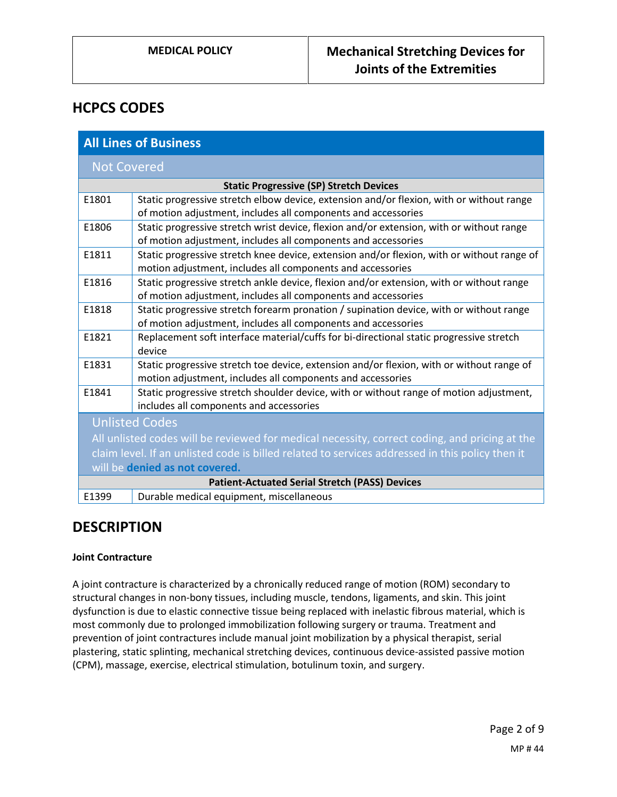## **HCPCS CODES**

| <b>All Lines of Business</b>                                                                    |                                                                                                                                                           |
|-------------------------------------------------------------------------------------------------|-----------------------------------------------------------------------------------------------------------------------------------------------------------|
| <b>Not Covered</b>                                                                              |                                                                                                                                                           |
| <b>Static Progressive (SP) Stretch Devices</b>                                                  |                                                                                                                                                           |
| E1801                                                                                           | Static progressive stretch elbow device, extension and/or flexion, with or without range<br>of motion adjustment, includes all components and accessories |
| E1806                                                                                           | Static progressive stretch wrist device, flexion and/or extension, with or without range<br>of motion adjustment, includes all components and accessories |
| E1811                                                                                           | Static progressive stretch knee device, extension and/or flexion, with or without range of<br>motion adjustment, includes all components and accessories  |
| E1816                                                                                           | Static progressive stretch ankle device, flexion and/or extension, with or without range<br>of motion adjustment, includes all components and accessories |
| E1818                                                                                           | Static progressive stretch forearm pronation / supination device, with or without range<br>of motion adjustment, includes all components and accessories  |
| E1821                                                                                           | Replacement soft interface material/cuffs for bi-directional static progressive stretch<br>device                                                         |
| E1831                                                                                           | Static progressive stretch toe device, extension and/or flexion, with or without range of<br>motion adjustment, includes all components and accessories   |
| E1841                                                                                           | Static progressive stretch shoulder device, with or without range of motion adjustment,<br>includes all components and accessories                        |
| <b>Unlisted Codes</b>                                                                           |                                                                                                                                                           |
| All unlisted codes will be reviewed for medical necessity, correct coding, and pricing at the   |                                                                                                                                                           |
| claim level. If an unlisted code is billed related to services addressed in this policy then it |                                                                                                                                                           |
| will be denied as not covered.                                                                  |                                                                                                                                                           |
| <b>Patient-Actuated Serial Stretch (PASS) Devices</b>                                           |                                                                                                                                                           |
| E1399                                                                                           | Durable medical equipment, miscellaneous                                                                                                                  |

## **DESCRIPTION**

## **Joint Contracture**

A joint contracture is characterized by a chronically reduced range of motion (ROM) secondary to structural changes in non-bony tissues, including muscle, tendons, ligaments, and skin. This joint dysfunction is due to elastic connective tissue being replaced with inelastic fibrous material, which is most commonly due to prolonged immobilization following surgery or trauma. Treatment and prevention of joint contractures include manual joint mobilization by a physical therapist, serial plastering, static splinting, mechanical stretching devices, continuous device-assisted passive motion (CPM), massage, exercise, electrical stimulation, botulinum toxin, and surgery.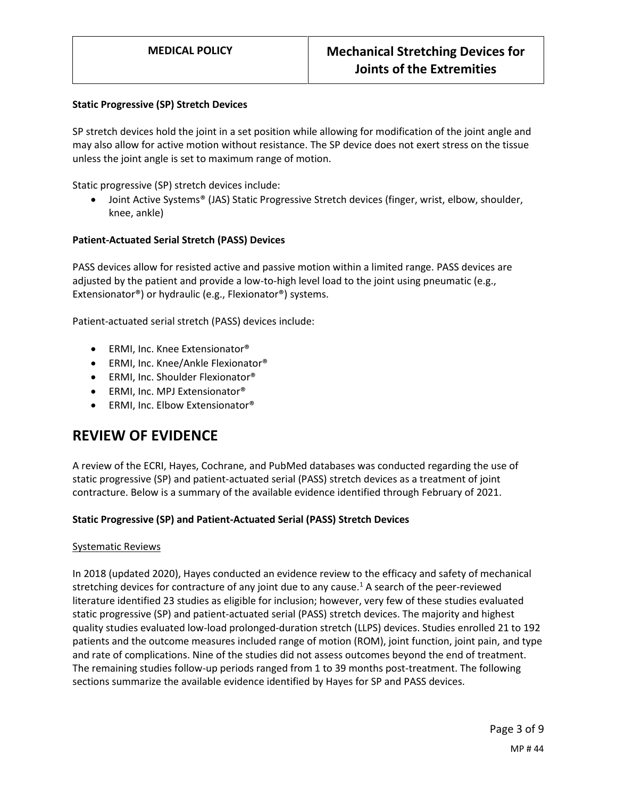#### **Static Progressive (SP) Stretch Devices**

SP stretch devices hold the joint in a set position while allowing for modification of the joint angle and may also allow for active motion without resistance. The SP device does not exert stress on the tissue unless the joint angle is set to maximum range of motion.

Static progressive (SP) stretch devices include:

● Joint Active Systems<sup>®</sup> (JAS) Static Progressive Stretch devices (finger, wrist, elbow, shoulder, knee, ankle)

#### **Patient-Actuated Serial Stretch (PASS) Devices**

PASS devices allow for resisted active and passive motion within a limited range. PASS devices are adjusted by the patient and provide a low-to-high level load to the joint using pneumatic (e.g., Extensionator®) or hydraulic (e.g., Flexionator®) systems.

Patient-actuated serial stretch (PASS) devices include:

- ERMI, Inc. Knee Extensionator<sup>®</sup>
- ERMI, Inc. Knee/Ankle Flexionator<sup>®</sup>
- ERMI, Inc. Shoulder Flexionator<sup>®</sup>
- ERMI, Inc. MPJ Extensionator<sup>®</sup>
- ERMI, Inc. Elbow Extensionator<sup>®</sup>

## **REVIEW OF EVIDENCE**

A review of the ECRI, Hayes, Cochrane, and PubMed databases was conducted regarding the use of static progressive (SP) and patient-actuated serial (PASS) stretch devices as a treatment of joint contracture. Below is a summary of the available evidence identified through February of 2021.

#### **Static Progressive (SP) and Patient-Actuated Serial (PASS) Stretch Devices**

#### Systematic Reviews

In 2018 (updated 2020), Hayes conducted an evidence review to the efficacy and safety of mechanical stretching devices for contracture of any joint due to any cause.<sup>1</sup> A search of the peer-reviewed literature identified 23 studies as eligible for inclusion; however, very few of these studies evaluated static progressive (SP) and patient-actuated serial (PASS) stretch devices. The majority and highest quality studies evaluated low-load prolonged-duration stretch (LLPS) devices. Studies enrolled 21 to 192 patients and the outcome measures included range of motion (ROM), joint function, joint pain, and type and rate of complications. Nine of the studies did not assess outcomes beyond the end of treatment. The remaining studies follow-up periods ranged from 1 to 39 months post-treatment. The following sections summarize the available evidence identified by Hayes for SP and PASS devices.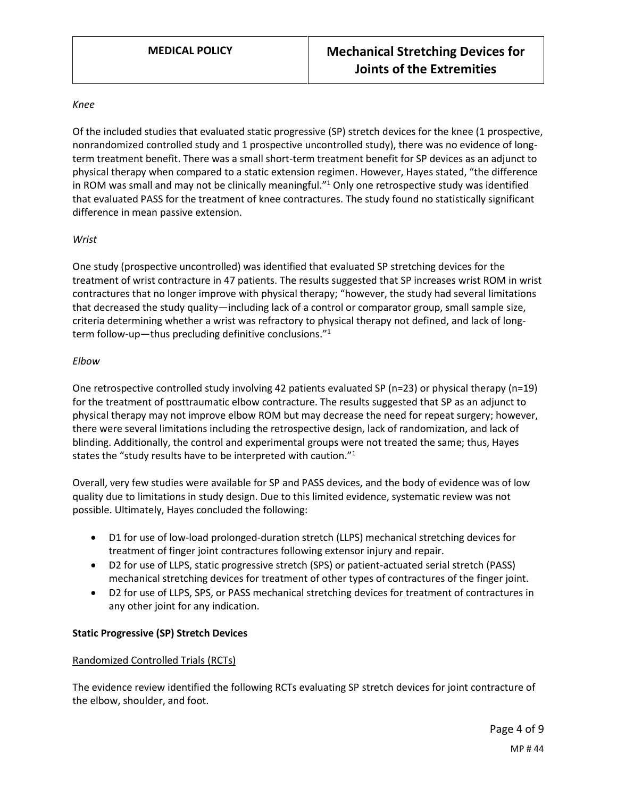#### *Knee*

Of the included studies that evaluated static progressive (SP) stretch devices for the knee (1 prospective, nonrandomized controlled study and 1 prospective uncontrolled study), there was no evidence of longterm treatment benefit. There was a small short-term treatment benefit for SP devices as an adjunct to physical therapy when compared to a static extension regimen. However, Hayes stated, "the difference in ROM was small and may not be clinically meaningful."<sup>1</sup> Only one retrospective study was identified that evaluated PASS for the treatment of knee contractures. The study found no statistically significant difference in mean passive extension.

### *Wrist*

One study (prospective uncontrolled) was identified that evaluated SP stretching devices for the treatment of wrist contracture in 47 patients. The results suggested that SP increases wrist ROM in wrist contractures that no longer improve with physical therapy; "however, the study had several limitations that decreased the study quality—including lack of a control or comparator group, small sample size, criteria determining whether a wrist was refractory to physical therapy not defined, and lack of longterm follow-up—thus precluding definitive conclusions."<sup>1</sup>

#### *Elbow*

One retrospective controlled study involving 42 patients evaluated SP (n=23) or physical therapy (n=19) for the treatment of posttraumatic elbow contracture. The results suggested that SP as an adjunct to physical therapy may not improve elbow ROM but may decrease the need for repeat surgery; however, there were several limitations including the retrospective design, lack of randomization, and lack of blinding. Additionally, the control and experimental groups were not treated the same; thus, Hayes states the "study results have to be interpreted with caution."<sup>1</sup>

Overall, very few studies were available for SP and PASS devices, and the body of evidence was of low quality due to limitations in study design. Due to this limited evidence, systematic review was not possible. Ultimately, Hayes concluded the following:

- D1 for use of low-load prolonged-duration stretch (LLPS) mechanical stretching devices for treatment of finger joint contractures following extensor injury and repair.
- D2 for use of LLPS, static progressive stretch (SPS) or patient-actuated serial stretch (PASS) mechanical stretching devices for treatment of other types of contractures of the finger joint.
- D2 for use of LLPS, SPS, or PASS mechanical stretching devices for treatment of contractures in any other joint for any indication.

### **Static Progressive (SP) Stretch Devices**

### Randomized Controlled Trials (RCTs)

The evidence review identified the following RCTs evaluating SP stretch devices for joint contracture of the elbow, shoulder, and foot.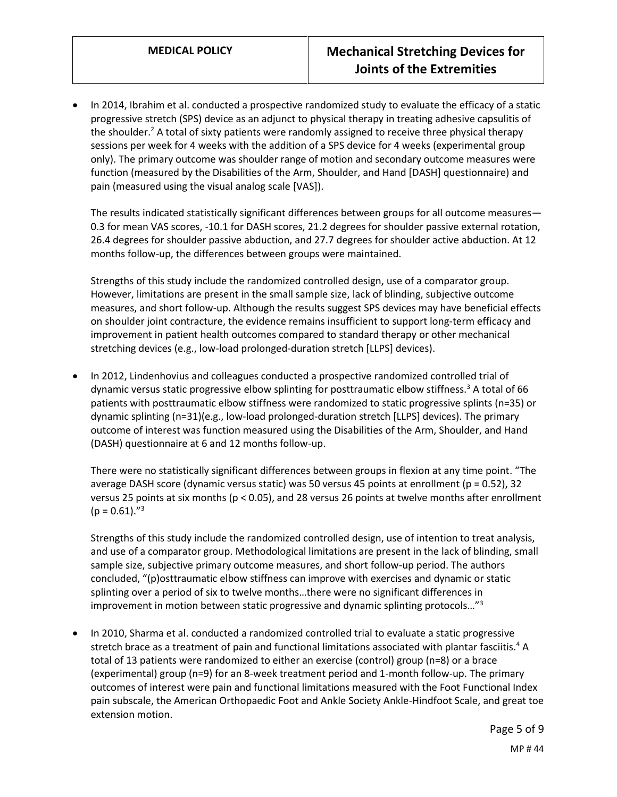In 2014, Ibrahim et al. conducted a prospective randomized study to evaluate the efficacy of a static progressive stretch (SPS) device as an adjunct to physical therapy in treating adhesive capsulitis of the shoulder.<sup>2</sup> A total of sixty patients were randomly assigned to receive three physical therapy sessions per week for 4 weeks with the addition of a SPS device for 4 weeks (experimental group only). The primary outcome was shoulder range of motion and secondary outcome measures were function (measured by the Disabilities of the Arm, Shoulder, and Hand [DASH] questionnaire) and pain (measured using the visual analog scale [VAS]).

The results indicated statistically significant differences between groups for all outcome measures— 0.3 for mean VAS scores, -10.1 for DASH scores, 21.2 degrees for shoulder passive external rotation, 26.4 degrees for shoulder passive abduction, and 27.7 degrees for shoulder active abduction. At 12 months follow-up, the differences between groups were maintained.

Strengths of this study include the randomized controlled design, use of a comparator group. However, limitations are present in the small sample size, lack of blinding, subjective outcome measures, and short follow-up. Although the results suggest SPS devices may have beneficial effects on shoulder joint contracture, the evidence remains insufficient to support long-term efficacy and improvement in patient health outcomes compared to standard therapy or other mechanical stretching devices (e.g., low-load prolonged-duration stretch [LLPS] devices).

 In 2012, Lindenhovius and colleagues conducted a prospective randomized controlled trial of dynamic versus static progressive elbow splinting for posttraumatic elbow stiffness.<sup>3</sup> A total of 66 patients with posttraumatic elbow stiffness were randomized to static progressive splints (n=35) or dynamic splinting (n=31)(e.g., low-load prolonged-duration stretch [LLPS] devices). The primary outcome of interest was function measured using the Disabilities of the Arm, Shoulder, and Hand (DASH) questionnaire at 6 and 12 months follow-up.

There were no statistically significant differences between groups in flexion at any time point. "The average DASH score (dynamic versus static) was 50 versus 45 points at enrollment (p = 0.52), 32 versus 25 points at six months (p < 0.05), and 28 versus 26 points at twelve months after enrollment  $(p = 0.61).$ "<sup>3</sup>

Strengths of this study include the randomized controlled design, use of intention to treat analysis, and use of a comparator group. Methodological limitations are present in the lack of blinding, small sample size, subjective primary outcome measures, and short follow-up period. The authors concluded, "(p)osttraumatic elbow stiffness can improve with exercises and dynamic or static splinting over a period of six to twelve months…there were no significant differences in improvement in motion between static progressive and dynamic splinting protocols..." $3$ 

 In 2010, Sharma et al. conducted a randomized controlled trial to evaluate a static progressive stretch brace as a treatment of pain and functional limitations associated with plantar fasciitis.<sup>4</sup> A total of 13 patients were randomized to either an exercise (control) group (n=8) or a brace (experimental) group (n=9) for an 8-week treatment period and 1-month follow-up. The primary outcomes of interest were pain and functional limitations measured with the Foot Functional Index pain subscale, the American Orthopaedic Foot and Ankle Society Ankle-Hindfoot Scale, and great toe extension motion.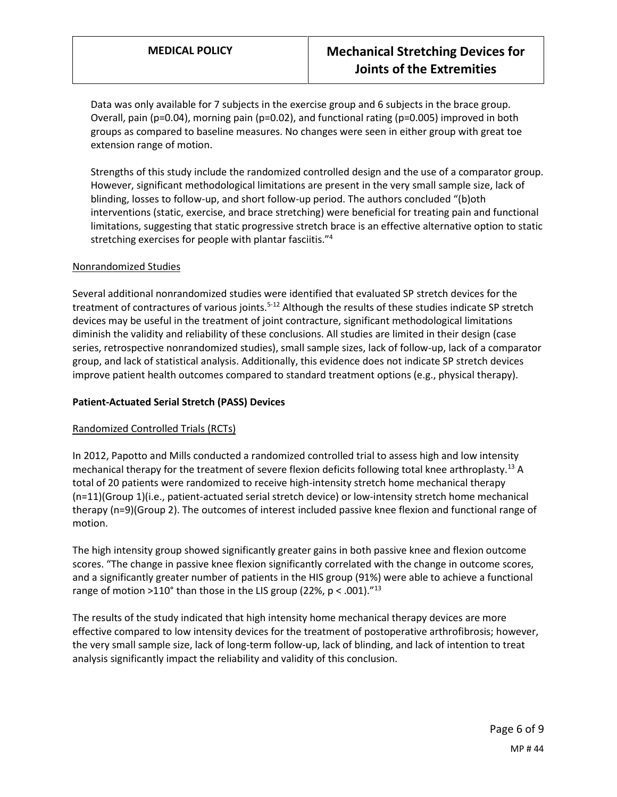Data was only available for 7 subjects in the exercise group and 6 subjects in the brace group. Overall, pain (p=0.04), morning pain (p=0.02), and functional rating (p=0.005) improved in both groups as compared to baseline measures. No changes were seen in either group with great toe extension range of motion.

Strengths of this study include the randomized controlled design and the use of a comparator group. However, significant methodological limitations are present in the very small sample size, lack of blinding, losses to follow-up, and short follow-up period. The authors concluded "(b)oth interventions (static, exercise, and brace stretching) were beneficial for treating pain and functional limitations, suggesting that static progressive stretch brace is an effective alternative option to static stretching exercises for people with plantar fasciitis."<sup>4</sup>

### Nonrandomized Studies

Several additional nonrandomized studies were identified that evaluated SP stretch devices for the treatment of contractures of various joints.<sup>5-12</sup> Although the results of these studies indicate SP stretch devices may be useful in the treatment of joint contracture, significant methodological limitations diminish the validity and reliability of these conclusions. All studies are limited in their design (case series, retrospective nonrandomized studies), small sample sizes, lack of follow-up, lack of a comparator group, and lack of statistical analysis. Additionally, this evidence does not indicate SP stretch devices improve patient health outcomes compared to standard treatment options (e.g., physical therapy).

### **Patient-Actuated Serial Stretch (PASS) Devices**

## Randomized Controlled Trials (RCTs)

In 2012, Papotto and Mills conducted a randomized controlled trial to assess high and low intensity mechanical therapy for the treatment of severe flexion deficits following total knee arthroplasty.<sup>13</sup> A total of 20 patients were randomized to receive high-intensity stretch home mechanical therapy (n=11)(Group 1)(i.e., patient-actuated serial stretch device) or low-intensity stretch home mechanical therapy (n=9)(Group 2). The outcomes of interest included passive knee flexion and functional range of motion.

The high intensity group showed significantly greater gains in both passive knee and flexion outcome scores. "The change in passive knee flexion significantly correlated with the change in outcome scores, and a significantly greater number of patients in the HIS group (91%) were able to achieve a functional range of motion >110° than those in the LIS group (22%,  $p < .001$ ).<sup>"13</sup>

The results of the study indicated that high intensity home mechanical therapy devices are more effective compared to low intensity devices for the treatment of postoperative arthrofibrosis; however, the very small sample size, lack of long-term follow-up, lack of blinding, and lack of intention to treat analysis significantly impact the reliability and validity of this conclusion.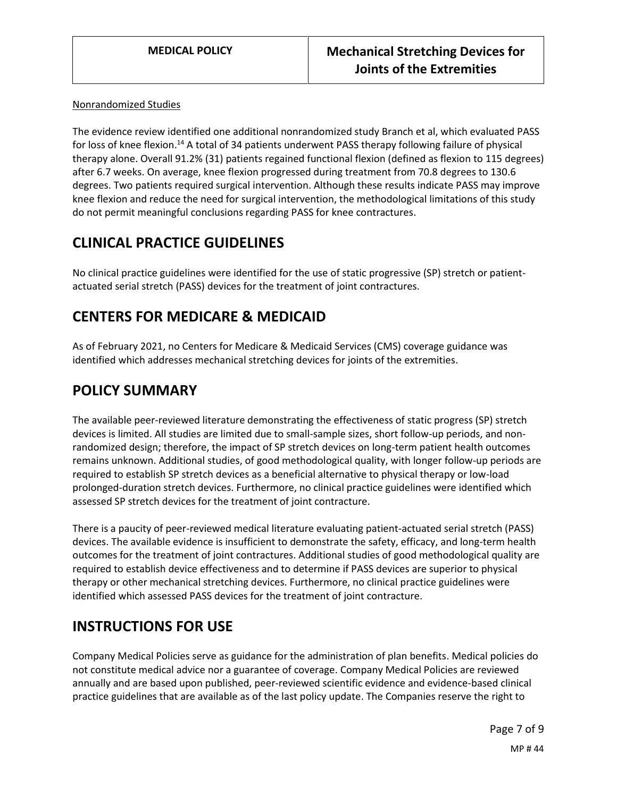### Nonrandomized Studies

The evidence review identified one additional nonrandomized study Branch et al, which evaluated PASS for loss of knee flexion.<sup>14</sup> A total of 34 patients underwent PASS therapy following failure of physical therapy alone. Overall 91.2% (31) patients regained functional flexion (defined as flexion to 115 degrees) after 6.7 weeks. On average, knee flexion progressed during treatment from 70.8 degrees to 130.6 degrees. Two patients required surgical intervention. Although these results indicate PASS may improve knee flexion and reduce the need for surgical intervention, the methodological limitations of this study do not permit meaningful conclusions regarding PASS for knee contractures.

## **CLINICAL PRACTICE GUIDELINES**

No clinical practice guidelines were identified for the use of static progressive (SP) stretch or patientactuated serial stretch (PASS) devices for the treatment of joint contractures.

# <span id="page-6-0"></span>**CENTERS FOR MEDICARE & MEDICAID**

As of February 2021, no Centers for Medicare & Medicaid Services (CMS) coverage guidance was identified which addresses mechanical stretching devices for joints of the extremities.

## **POLICY SUMMARY**

The available peer-reviewed literature demonstrating the effectiveness of static progress (SP) stretch devices is limited. All studies are limited due to small-sample sizes, short follow-up periods, and nonrandomized design; therefore, the impact of SP stretch devices on long-term patient health outcomes remains unknown. Additional studies, of good methodological quality, with longer follow-up periods are required to establish SP stretch devices as a beneficial alternative to physical therapy or low-load prolonged-duration stretch devices. Furthermore, no clinical practice guidelines were identified which assessed SP stretch devices for the treatment of joint contracture.

There is a paucity of peer-reviewed medical literature evaluating patient-actuated serial stretch (PASS) devices. The available evidence is insufficient to demonstrate the safety, efficacy, and long-term health outcomes for the treatment of joint contractures. Additional studies of good methodological quality are required to establish device effectiveness and to determine if PASS devices are superior to physical therapy or other mechanical stretching devices. Furthermore, no clinical practice guidelines were identified which assessed PASS devices for the treatment of joint contracture.

# **INSTRUCTIONS FOR USE**

Company Medical Policies serve as guidance for the administration of plan benefits. Medical policies do not constitute medical advice nor a guarantee of coverage. Company Medical Policies are reviewed annually and are based upon published, peer-reviewed scientific evidence and evidence-based clinical practice guidelines that are available as of the last policy update. The Companies reserve the right to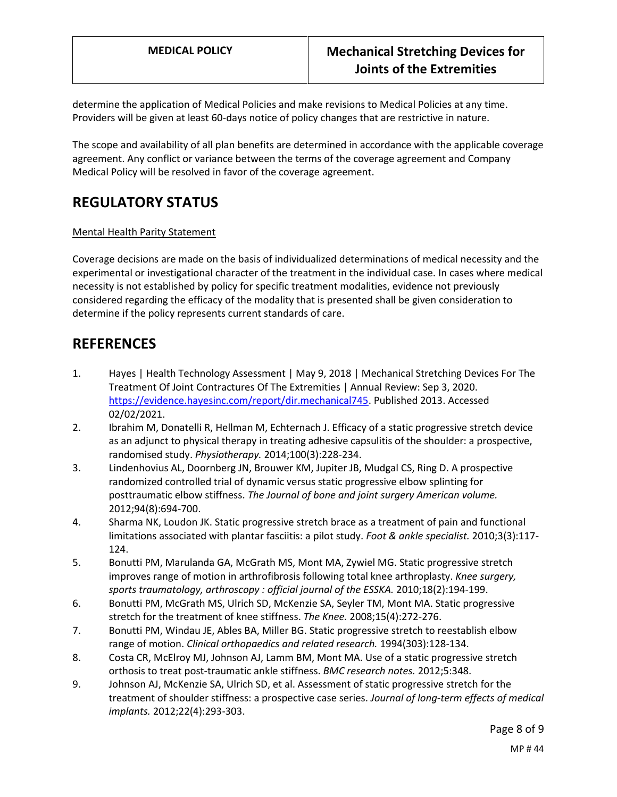determine the application of Medical Policies and make revisions to Medical Policies at any time. Providers will be given at least 60-days notice of policy changes that are restrictive in nature.

The scope and availability of all plan benefits are determined in accordance with the applicable coverage agreement. Any conflict or variance between the terms of the coverage agreement and Company Medical Policy will be resolved in favor of the coverage agreement.

# **REGULATORY STATUS**

### Mental Health Parity Statement

Coverage decisions are made on the basis of individualized determinations of medical necessity and the experimental or investigational character of the treatment in the individual case. In cases where medical necessity is not established by policy for specific treatment modalities, evidence not previously considered regarding the efficacy of the modality that is presented shall be given consideration to determine if the policy represents current standards of care.

## **REFERENCES**

- 1. Hayes | Health Technology Assessment | May 9, 2018 | Mechanical Stretching Devices For The Treatment Of Joint Contractures Of The Extremities | Annual Review: Sep 3, 2020. [https://evidence.hayesinc.com/report/dir.mechanical745.](https://evidence.hayesinc.com/report/dir.mechanical745) Published 2013. Accessed 02/02/2021.
- 2. Ibrahim M, Donatelli R, Hellman M, Echternach J. Efficacy of a static progressive stretch device as an adjunct to physical therapy in treating adhesive capsulitis of the shoulder: a prospective, randomised study. *Physiotherapy.* 2014;100(3):228-234.
- 3. Lindenhovius AL, Doornberg JN, Brouwer KM, Jupiter JB, Mudgal CS, Ring D. A prospective randomized controlled trial of dynamic versus static progressive elbow splinting for posttraumatic elbow stiffness. *The Journal of bone and joint surgery American volume.*  2012;94(8):694-700.
- 4. Sharma NK, Loudon JK. Static progressive stretch brace as a treatment of pain and functional limitations associated with plantar fasciitis: a pilot study. *Foot & ankle specialist.* 2010;3(3):117- 124.
- 5. Bonutti PM, Marulanda GA, McGrath MS, Mont MA, Zywiel MG. Static progressive stretch improves range of motion in arthrofibrosis following total knee arthroplasty. *Knee surgery, sports traumatology, arthroscopy : official journal of the ESSKA.* 2010;18(2):194-199.
- 6. Bonutti PM, McGrath MS, Ulrich SD, McKenzie SA, Seyler TM, Mont MA. Static progressive stretch for the treatment of knee stiffness. *The Knee.* 2008;15(4):272-276.
- 7. Bonutti PM, Windau JE, Ables BA, Miller BG. Static progressive stretch to reestablish elbow range of motion. *Clinical orthopaedics and related research.* 1994(303):128-134.
- 8. Costa CR, McElroy MJ, Johnson AJ, Lamm BM, Mont MA. Use of a static progressive stretch orthosis to treat post-traumatic ankle stiffness. *BMC research notes.* 2012;5:348.
- 9. Johnson AJ, McKenzie SA, Ulrich SD, et al. Assessment of static progressive stretch for the treatment of shoulder stiffness: a prospective case series. *Journal of long-term effects of medical implants.* 2012;22(4):293-303.